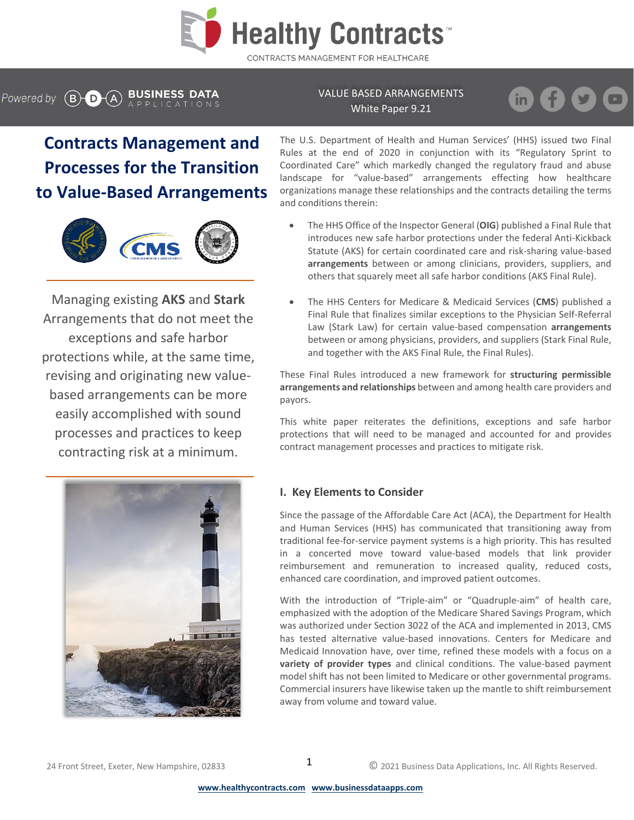

# Powered by  $\left(\overline{B} \right)$   $\left(\overline{A}\right)$  BUSINESS DATA

VALUE BASED ARRANGEMENTS White Paper 9.21

in.

# **Contracts Management and Processes for the Transition to Value-Based Arrangements**



Managing existing **AKS** and **Stark**  Arrangements that do not meet the exceptions a[nd saf](https://creativecommons.org/licenses/by-sa/3.0/)e harbor protections w[hile,](https://creativecommons.org/licenses/by-sa/3.0/) at the same time, revising and originating new valuebased arrangements can be more easily accomplished with sound processes and practices to keep contracting risk at a minimum.



The U.S. Department of Health and Human Services' (HHS) issued two Final Rules at the end of 2020 in conjunction with its "Regulatory Sprint to Coordinated Care" which markedly changed the regulatory fraud and abuse landscape for "value-based" arrangements effecting how healthcare organizations manage these relationships and the contracts detailing the terms and conditions therein:

- The HHS Office of the Inspector General (**OIG**) published a Final Rule that introduces new safe harbor protections under the federal Anti-Kickback Statute (AKS) for certain coordinated care and risk-sharing value-based **arrangements** between or among clinicians, providers, suppliers, and others that squarely meet all safe harbor conditions (AKS Final Rule).
- The HHS Centers for Medicare & Medicaid Services (**CMS**) published a Final Rule that finalizes similar exceptions to the Physician Self-Referral Law (Stark Law) for certain value-based compensation **arrangements** between or among physicians, providers, and suppliers (Stark Final Rule, and together with the AKS Final Rule, the Final Rules).

These Final Rules introduced a new framework for **structuring permissible arrangements and relationships** between and among health care providers and payors.

This white paper reiterates the definitions, exceptions and safe harbor protections that will need to be managed and accounted for and provides contract management processes and practices to mitigate risk.

# **I. Key Elements to Consider**

Since the passage of the Affordable Care Act (ACA), the Department for Health and Human Services (HHS) has communicated that transitioning away from traditional fee-for-service payment systems is a high priority. This has resulted in a concerted move toward value-based models that link provider reimbursement and remuneration to increased quality, reduced costs, enhanced care coordination, and improved patient outcomes.

With the introduction of "Triple-aim" or "Quadruple-aim" of health care, emphasized with the adoption of the Medicare Shared Savings Program, which was authorized under Section 3022 of the ACA and implemented in 2013, CMS has tested alternative value-based innovations. Centers for Medicare and Medicaid Innovation have, over time, refined these models with a focus on a **variety of provider types** and clinical conditions. The value-based payment model shift has not been limited to Medicare or other governmental programs. Commercial insurers have likewise taken up the mantle to shift reimbursement away from volume and toward value.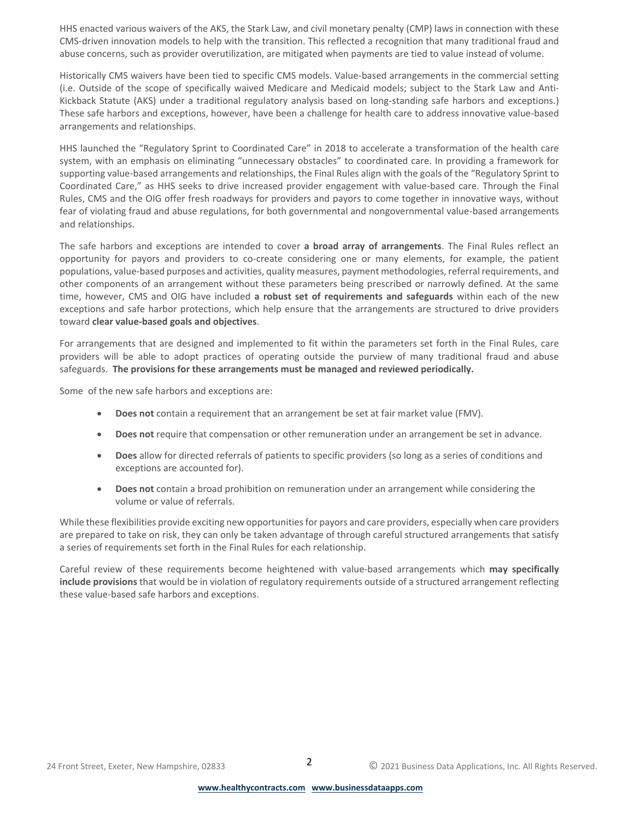HHS enacted various waivers of the AKS, the Stark Law, and civil monetary penalty (CMP) laws in connection with these CMS-driven innovation models to help with the transition. This reflected a recognition that many traditional fraud and abuse concerns, such as provider overutilization, are mitigated when payments are tied to value instead of volume.

Historically CMS waivers have been tied to specific CMS models. Value-based arrangements in the commercial setting (i.e. Outside of the scope of specifically waived Medicare and Medicaid models; subject to the Stark Law and Anti-Kickback Statute (AKS) under a traditional regulatory analysis based on long-standing safe harbors and exceptions.) These safe harbors and exceptions, however, have been a challenge for health care to address innovative value-based arrangements and relationships.

HHS launched the "Regulatory Sprint to Coordinated Care" in 2018 to accelerate a transformation of the health care system, with an emphasis on eliminating "unnecessary obstacles" to coordinated care. In providing a framework for supporting value-based arrangements and relationships, the Final Rules align with the goals of the "Regulatory Sprint to Coordinated Care," as HHS seeks to drive increased provider engagement with value-based care. Through the Final Rules, CMS and the OIG offer fresh roadways for providers and payors to come together in innovative ways, without fear of violating fraud and abuse regulations, for both governmental and nongovernmental value-based arrangements and relationships.

The safe harbors and exceptions are intended to cover **a broad array of arrangements**. The Final Rules reflect an opportunity for payors and providers to co-create considering one or many elements, for example, the patient populations, value-based purposes and activities, quality measures, payment methodologies, referral requirements, and other components of an arrangement without these parameters being prescribed or narrowly defined. At the same time, however, CMS and OIG have included **a robust set of requirements and safeguards** within each of the new exceptions and safe harbor protections, which help ensure that the arrangements are structured to drive providers toward **clear value-based goals and objectives**.

For arrangements that are designed and implemented to fit within the parameters set forth in the Final Rules, care providers will be able to adopt practices of operating outside the purview of many traditional fraud and abuse safeguards. **The provisions for these arrangements must be managed and reviewed periodically.**

Some of the new safe harbors and exceptions are:

- **Does not** contain a requirement that an arrangement be set at fair market value (FMV).
- **Does not** require that compensation or other remuneration under an arrangement be set in advance.
- **Does** allow for directed referrals of patients to specific providers (so long as a series of conditions and exceptions are accounted for).
- **Does not** contain a broad prohibition on remuneration under an arrangement while considering the volume or value of referrals.

While these flexibilities provide exciting new opportunities for payors and care providers, especially when care providers are prepared to take on risk, they can only be taken advantage of through careful structured arrangements that satisfy a series of requirements set forth in the Final Rules for each relationship.

Careful review of these requirements become heightened with value-based arrangements which **may specifically include provisions** that would be in violation of regulatory requirements outside of a structured arrangement reflecting these value-based safe harbors and exceptions.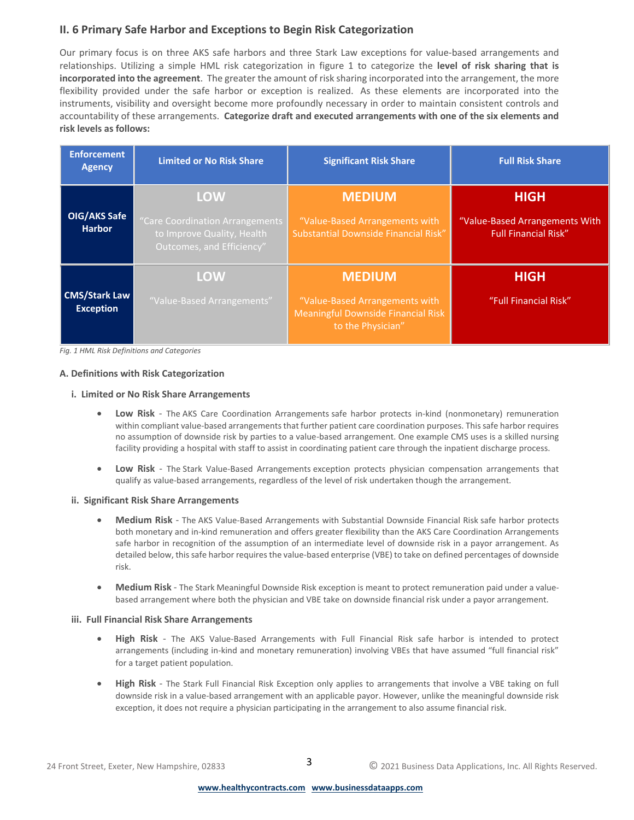# **II. 6 Primary Safe Harbor and Exceptions to Begin Risk Categorization**

Our primary focus is on three AKS safe harbors and three Stark Law exceptions for value-based arrangements and relationships. Utilizing a simple HML risk categorization in figure 1 to categorize the **level of risk sharing that is incorporated into the agreement**. The greater the amount of risk sharing incorporated into the arrangement, the more flexibility provided under the safe harbor or exception is realized. As these elements are incorporated into the instruments, visibility and oversight become more profoundly necessary in order to maintain consistent controls and accountability of these arrangements. **Categorize draft and executed arrangements with one of the six elements and risk levels as follows:**

| <b>Enforcement</b><br><b>Agency</b>      | <b>Limited or No Risk Share</b>                                                                          | <b>Significant Risk Share</b>                                                                                     | <b>Full Risk Share</b>                                                       |
|------------------------------------------|----------------------------------------------------------------------------------------------------------|-------------------------------------------------------------------------------------------------------------------|------------------------------------------------------------------------------|
| OIG/AKS Safe<br><b>Harbor</b>            | <b>LOW</b><br>"Care Coordination Arrangements<br>to Improve Quality, Health<br>Outcomes, and Efficiency" | <b>MEDIUM</b><br>"Value-Based Arrangements with<br>Substantial Downside Financial Risk"                           | <b>HIGH</b><br>"Value-Based Arrangements With<br><b>Full Financial Risk"</b> |
| <b>CMS/Stark Law</b><br><b>Exception</b> | <b>LOW</b><br>"Value-Based Arrangements"                                                                 | <b>MEDIUM</b><br>"Value-Based Arrangements with<br><b>Meaningful Downside Financial Risk</b><br>to the Physician" | <b>HIGH</b><br>"Full Financial Risk"                                         |

*Fig. 1 HML Risk Definitions and Categories*

#### **A. Definitions with Risk Categorization**

#### **i. Limited or No Risk Share Arrangements**

- **Low Risk** The AKS Care Coordination Arrangements safe harbor protects in-kind (nonmonetary) remuneration within compliant value-based arrangements that further patient care coordination purposes. This safe harbor requires no assumption of downside risk by parties to a value-based arrangement. One example CMS uses is a skilled nursing facility providing a hospital with staff to assist in coordinating patient care through the inpatient discharge process.
- **Low Risk** The Stark Value-Based Arrangements exception protects physician compensation arrangements that qualify as value-based arrangements, regardless of the level of risk undertaken though the arrangement.

#### **ii. Significant Risk Share Arrangements**

- **Medium Risk** The AKS Value-Based Arrangements with Substantial Downside Financial Risk safe harbor protects both monetary and in-kind remuneration and offers greater flexibility than the AKS Care Coordination Arrangements safe harbor in recognition of the assumption of an intermediate level of downside risk in a payor arrangement. As detailed below, this safe harbor requires the value-based enterprise (VBE) to take on defined percentages of downside risk.
- **Medium Risk** The Stark Meaningful Downside Risk exception is meant to protect remuneration paid under a valuebased arrangement where both the physician and VBE take on downside financial risk under a payor arrangement.

#### **iii. Full Financial Risk Share Arrangements**

- **High Risk** The AKS Value-Based Arrangements with Full Financial Risk safe harbor is intended to protect arrangements (including in-kind and monetary remuneration) involving VBEs that have assumed "full financial risk" for a target patient population.
- **High Risk** The Stark Full Financial Risk Exception only applies to arrangements that involve a VBE taking on full downside risk in a value-based arrangement with an applicable payor. However, unlike the meaningful downside risk exception, it does not require a physician participating in the arrangement to also assume financial risk.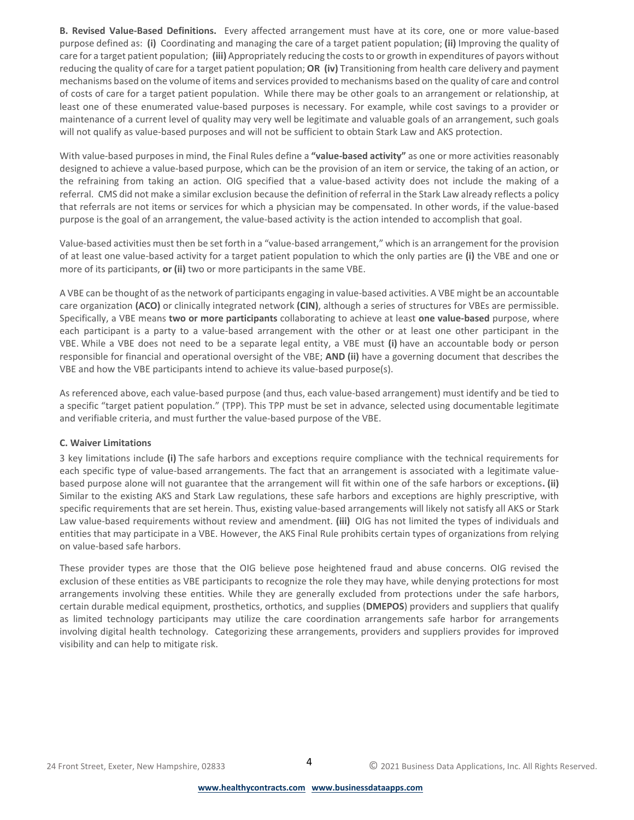**B. Revised Value-Based Definitions.** Every affected arrangement must have at its core, one or more value-based purpose defined as: **(i)** Coordinating and managing the care of a target patient population; **(ii)** Improving the quality of care for a target patient population; **(iii)** Appropriately reducing the costs to or growth in expenditures of payors without reducing the quality of care for a target patient population; **OR (iv)** Transitioning from health care delivery and payment mechanisms based on the volume of items and services provided to mechanisms based on the quality of care and control of costs of care for a target patient population. While there may be other goals to an arrangement or relationship, at least one of these enumerated value-based purposes is necessary. For example, while cost savings to a provider or maintenance of a current level of quality may very well be legitimate and valuable goals of an arrangement, such goals will not qualify as value-based purposes and will not be sufficient to obtain Stark Law and AKS protection.

With value-based purposes in mind, the Final Rules define a **"value-based activity"** as one or more activities reasonably designed to achieve a value-based purpose, which can be the provision of an item or service, the taking of an action, or the refraining from taking an action. OIG specified that a value-based activity does not include the making of a referral. CMS did not make a similar exclusion because the definition of referral in the Stark Law already reflects a policy that referrals are not items or services for which a physician may be compensated. In other words, if the value-based purpose is the goal of an arrangement, the value-based activity is the action intended to accomplish that goal.

Value-based activities must then be set forth in a "value-based arrangement," which is an arrangement for the provision of at least one value-based activity for a target patient population to which the only parties are **(i)** the VBE and one or more of its participants, **or (ii)** two or more participants in the same VBE.

A VBE can be thought of as the network of participants engaging in value-based activities. A VBE might be an accountable care organization **(ACO)** or clinically integrated network **(CIN)**, although a series of structures for VBEs are permissible. Specifically, a VBE means **two or more participants** collaborating to achieve at least **one value-based** purpose, where each participant is a party to a value-based arrangement with the other or at least one other participant in the VBE. While a VBE does not need to be a separate legal entity, a VBE must **(i)** have an accountable body or person responsible for financial and operational oversight of the VBE; **AND (ii)** have a governing document that describes the VBE and how the VBE participants intend to achieve its value-based purpose(s).

As referenced above, each value-based purpose (and thus, each value-based arrangement) must identify and be tied to a specific "target patient population." (TPP). This TPP must be set in advance, selected using documentable legitimate and verifiable criteria, and must further the value-based purpose of the VBE.

## **C. Waiver Limitations**

3 key limitations include **(i)** The safe harbors and exceptions require compliance with the technical requirements for each specific type of value-based arrangements. The fact that an arrangement is associated with a legitimate valuebased purpose alone will not guarantee that the arrangement will fit within one of the safe harbors or exceptions**. (ii)** Similar to the existing AKS and Stark Law regulations, these safe harbors and exceptions are highly prescriptive, with specific requirements that are set herein. Thus, existing value-based arrangements will likely not satisfy all AKS or Stark Law value-based requirements without review and amendment. **(iii)** OIG has not limited the types of individuals and entities that may participate in a VBE. However, the AKS Final Rule prohibits certain types of organizations from relying on value-based safe harbors.

These provider types are those that the OIG believe pose heightened fraud and abuse concerns. OIG revised the exclusion of these entities as VBE participants to recognize the role they may have, while denying protections for most arrangements involving these entities. While they are generally excluded from protections under the safe harbors, certain durable medical equipment, prosthetics, orthotics, and supplies (**DMEPOS**) providers and suppliers that qualify as limited technology participants may utilize the care coordination arrangements safe harbor for arrangements involving digital health technology. Categorizing these arrangements, providers and suppliers provides for improved visibility and can help to mitigate risk.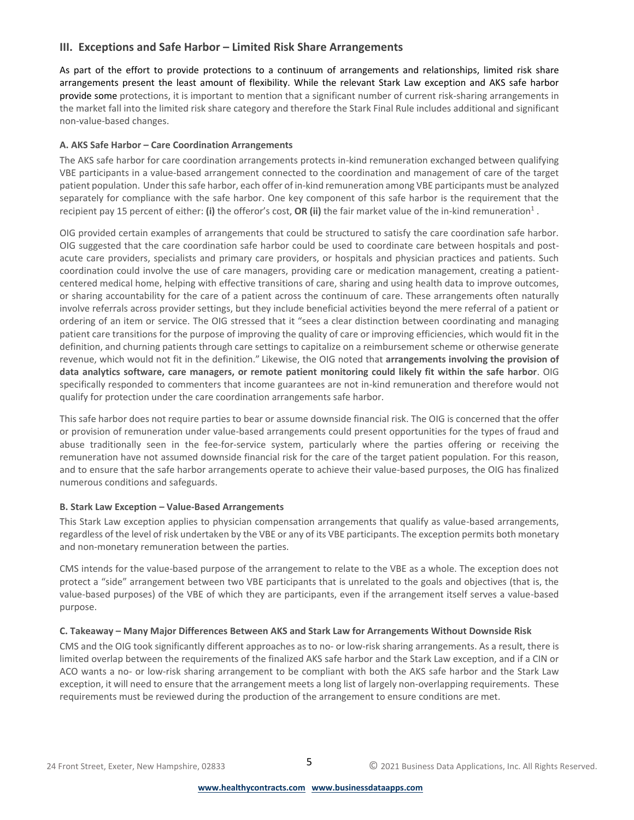## **III. Exceptions and Safe Harbor – Limited Risk Share Arrangements**

As part of the effort to provide protections to a continuum of arrangements and relationships, limited risk share arrangements present the least amount of flexibility. While the relevant Stark Law exception and AKS safe harbor provide some protections, it is important to mention that a significant number of current risk-sharing arrangements in the market fall into the limited risk share category and therefore the Stark Final Rule includes additional and significant non-value-based changes.

## **A. AKS Safe Harbor – Care Coordination Arrangements**

The AKS safe harbor for care coordination arrangements protects in-kind remuneration exchanged between qualifying VBE participants in a value-based arrangement connected to the coordination and management of care of the target patient population. Under this safe harbor, each offer of in-kind remuneration among VBE participants must be analyzed separately for compliance with the safe harbor. One key component of this safe harbor is the requirement that the recipient pay 15 percent of either: (i) the offeror's cost, OR (ii) the fair market value of the in-kind remuneration<sup>1</sup>.

OIG provided certain examples of arrangements that could be structured to satisfy the care coordination safe harbor. OIG suggested that the care coordination safe harbor could be used to coordinate care between hospitals and postacute care providers, specialists and primary care providers, or hospitals and physician practices and patients. Such coordination could involve the use of care managers, providing care or medication management, creating a patientcentered medical home, helping with effective transitions of care, sharing and using health data to improve outcomes, or sharing accountability for the care of a patient across the continuum of care. These arrangements often naturally involve referrals across provider settings, but they include beneficial activities beyond the mere referral of a patient or ordering of an item or service. The OIG stressed that it "sees a clear distinction between coordinating and managing patient care transitions for the purpose of improving the quality of care or improving efficiencies, which would fit in the definition, and churning patients through care settings to capitalize on a reimbursement scheme or otherwise generate revenue, which would not fit in the definition." Likewise, the OIG noted that **arrangements involving the provision of data analytics software, care managers, or remote patient monitoring could likely fit within the safe harbor**. OIG specifically responded to commenters that income guarantees are not in-kind remuneration and therefore would not qualify for protection under the care coordination arrangements safe harbor.

This safe harbor does not require parties to bear or assume downside financial risk. The OIG is concerned that the offer or provision of remuneration under value-based arrangements could present opportunities for the types of fraud and abuse traditionally seen in the fee-for-service system, particularly where the parties offering or receiving the remuneration have not assumed downside financial risk for the care of the target patient population. For this reason, and to ensure that the safe harbor arrangements operate to achieve their value-based purposes, the OIG has finalized numerous conditions and safeguards.

## **B. Stark Law Exception – Value-Based Arrangements**

This Stark Law exception applies to physician compensation arrangements that qualify as value-based arrangements, regardless of the level of risk undertaken by the VBE or any of its VBE participants. The exception permits both monetary and non-monetary remuneration between the parties.

CMS intends for the value-based purpose of the arrangement to relate to the VBE as a whole. The exception does not protect a "side" arrangement between two VBE participants that is unrelated to the goals and objectives (that is, the value-based purposes) of the VBE of which they are participants, even if the arrangement itself serves a value-based purpose.

## **C. Takeaway – Many Major Differences Between AKS and Stark Law for Arrangements Without Downside Risk**

CMS and the OIG took significantly different approaches as to no- or low-risk sharing arrangements. As a result, there is limited overlap between the requirements of the finalized AKS safe harbor and the Stark Law exception, and if a CIN or ACO wants a no- or low-risk sharing arrangement to be compliant with both the AKS safe harbor and the Stark Law exception, it will need to ensure that the arrangement meets a long list of largely non-overlapping requirements. These requirements must be reviewed during the production of the arrangement to ensure conditions are met.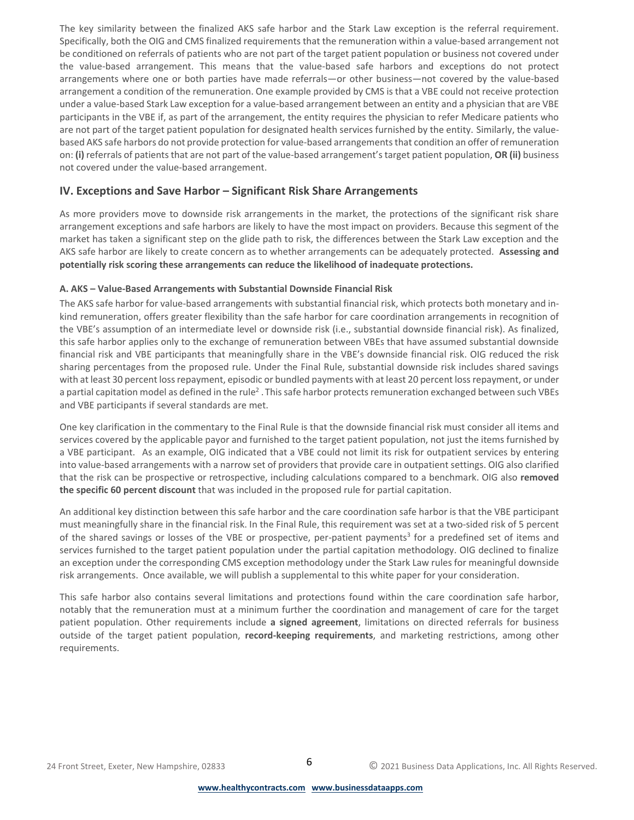The key similarity between the finalized AKS safe harbor and the Stark Law exception is the referral requirement. Specifically, both the OIG and CMS finalized requirements that the remuneration within a value-based arrangement not be conditioned on referrals of patients who are not part of the target patient population or business not covered under the value-based arrangement. This means that the value-based safe harbors and exceptions do not protect arrangements where one or both parties have made referrals—or other business—not covered by the value-based arrangement a condition of the remuneration. One example provided by CMS is that a VBE could not receive protection under a value-based Stark Law exception for a value-based arrangement between an entity and a physician that are VBE participants in the VBE if, as part of the arrangement, the entity requires the physician to refer Medicare patients who are not part of the target patient population for designated health services furnished by the entity. Similarly, the valuebased AKS safe harbors do not provide protection for value-based arrangements that condition an offer of remuneration on: **(i)** referrals of patients that are not part of the value-based arrangement's target patient population, **OR (ii)** business not covered under the value-based arrangement.

# **IV. Exceptions and Save Harbor – Significant Risk Share Arrangements**

As more providers move to downside risk arrangements in the market, the protections of the significant risk share arrangement exceptions and safe harbors are likely to have the most impact on providers. Because this segment of the market has taken a significant step on the glide path to risk, the differences between the Stark Law exception and the AKS safe harbor are likely to create concern as to whether arrangements can be adequately protected. **Assessing and potentially risk scoring these arrangements can reduce the likelihood of inadequate protections.**

## **A. AKS – Value-Based Arrangements with Substantial Downside Financial Risk**

The AKS safe harbor for value-based arrangements with substantial financial risk, which protects both monetary and inkind remuneration, offers greater flexibility than the safe harbor for care coordination arrangements in recognition of the VBE's assumption of an intermediate level or downside risk (i.e., substantial downside financial risk). As finalized, this safe harbor applies only to the exchange of remuneration between VBEs that have assumed substantial downside financial risk and VBE participants that meaningfully share in the VBE's downside financial risk. OIG reduced the risk sharing percentages from the proposed rule. Under the Final Rule, substantial downside risk includes shared savings with at least 30 percent loss repayment, episodic or bundled payments with at least 20 percent loss repayment, or under a partial capitation model as defined in the rule<sup>2</sup>. This safe harbor protects remuneration exchanged between such VBEs and VBE participants if several standards are met.

One key clarification in the commentary to the Final Rule is that the downside financial risk must consider all items and services covered by the applicable payor and furnished to the target patient population, not just the items furnished by a VBE participant. As an example, OIG indicated that a VBE could not limit its risk for outpatient services by entering into value-based arrangements with a narrow set of providers that provide care in outpatient settings. OIG also clarified that the risk can be prospective or retrospective, including calculations compared to a benchmark. OIG also **removed the specific 60 percent discount** that was included in the proposed rule for partial capitation.

An additional key distinction between this safe harbor and the care coordination safe harbor is that the VBE participant must meaningfully share in the financial risk. In the Final Rule, this requirement was set at a two-sided risk of 5 percent of the shared savings or losses of the VBE or prospective, per-patient payments<sup>3</sup> for a predefined set of items and services furnished to the target patient population under the partial capitation methodology. OIG declined to finalize an exception under the corresponding CMS exception methodology under the Stark Law rules for meaningful downside risk arrangements. Once available, we will publish a supplemental to this white paper for your consideration.

This safe harbor also contains several limitations and protections found within the care coordination safe harbor, notably that the remuneration must at a minimum further the coordination and management of care for the target patient population. Other requirements include **a signed agreement**, limitations on directed referrals for business outside of the target patient population, **record-keeping requirements**, and marketing restrictions, among other requirements.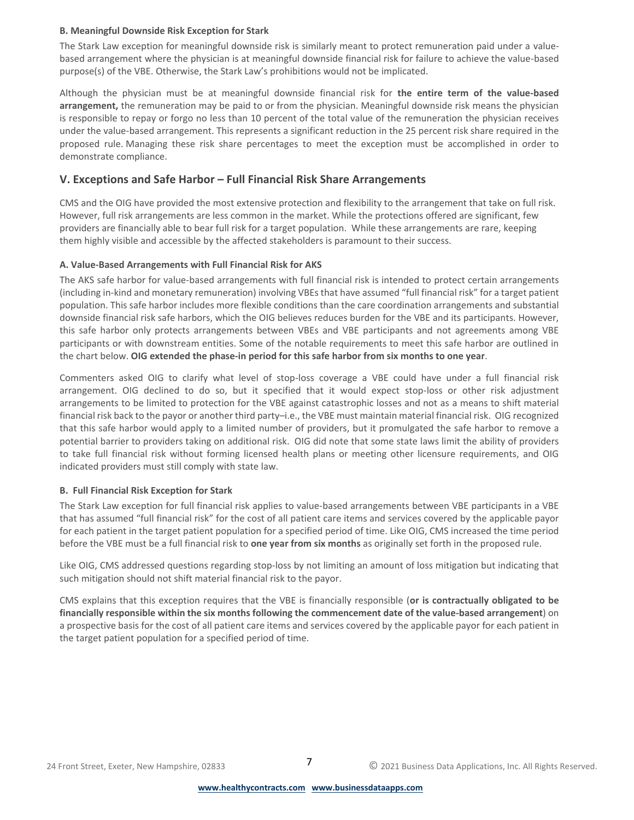#### **B. Meaningful Downside Risk Exception for Stark**

The Stark Law exception for meaningful downside risk is similarly meant to protect remuneration paid under a valuebased arrangement where the physician is at meaningful downside financial risk for failure to achieve the value-based purpose(s) of the VBE. Otherwise, the Stark Law's prohibitions would not be implicated.

Although the physician must be at meaningful downside financial risk for **the entire term of the value-based arrangement,** the remuneration may be paid to or from the physician. Meaningful downside risk means the physician is responsible to repay or forgo no less than 10 percent of the total value of the remuneration the physician receives under the value-based arrangement. This represents a significant reduction in the 25 percent risk share required in the proposed rule. Managing these risk share percentages to meet the exception must be accomplished in order to demonstrate compliance.

# **V. Exceptions and Safe Harbor – Full Financial Risk Share Arrangements**

CMS and the OIG have provided the most extensive protection and flexibility to the arrangement that take on full risk. However, full risk arrangements are less common in the market. While the protections offered are significant, few providers are financially able to bear full risk for a target population. While these arrangements are rare, keeping them highly visible and accessible by the affected stakeholders is paramount to their success.

## **A. Value-Based Arrangements with Full Financial Risk for AKS**

The AKS safe harbor for value-based arrangements with full financial risk is intended to protect certain arrangements (including in-kind and monetary remuneration) involving VBEs that have assumed "full financial risk" for a target patient population. This safe harbor includes more flexible conditions than the care coordination arrangements and substantial downside financial risk safe harbors, which the OIG believes reduces burden for the VBE and its participants. However, this safe harbor only protects arrangements between VBEs and VBE participants and not agreements among VBE participants or with downstream entities. Some of the notable requirements to meet this safe harbor are outlined in the chart below. **OIG extended the phase-in period for this safe harbor from six months to one year**.

Commenters asked OIG to clarify what level of stop-loss coverage a VBE could have under a full financial risk arrangement. OIG declined to do so, but it specified that it would expect stop-loss or other risk adjustment arrangements to be limited to protection for the VBE against catastrophic losses and not as a means to shift material financial risk back to the payor or another third party–i.e., the VBE must maintain material financial risk. OIG recognized that this safe harbor would apply to a limited number of providers, but it promulgated the safe harbor to remove a potential barrier to providers taking on additional risk. OIG did note that some state laws limit the ability of providers to take full financial risk without forming licensed health plans or meeting other licensure requirements, and OIG indicated providers must still comply with state law.

## **B. Full Financial Risk Exception for Stark**

The Stark Law exception for full financial risk applies to value-based arrangements between VBE participants in a VBE that has assumed "full financial risk" for the cost of all patient care items and services covered by the applicable payor for each patient in the target patient population for a specified period of time. Like OIG, CMS increased the time period before the VBE must be a full financial risk to **one year from six months** as originally set forth in the proposed rule.

Like OIG, CMS addressed questions regarding stop-loss by not limiting an amount of loss mitigation but indicating that such mitigation should not shift material financial risk to the payor.

CMS explains that this exception requires that the VBE is financially responsible (**or is contractually obligated to be financially responsible within the six months following the commencement date of the value-based arrangement**) on a prospective basis for the cost of all patient care items and services covered by the applicable payor for each patient in the target patient population for a specified period of time.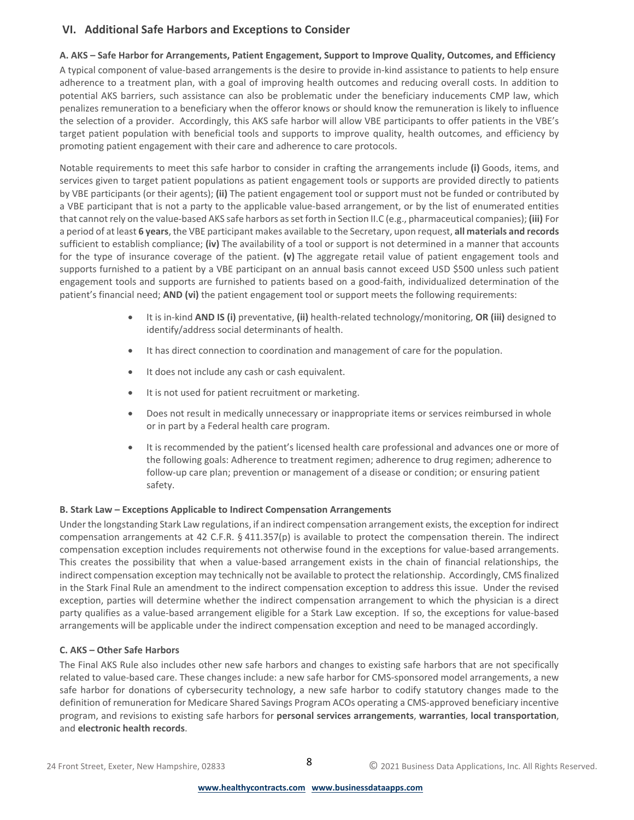# **VI. Additional Safe Harbors and Exceptions to Consider**

## **A. AKS – Safe Harbor for Arrangements, Patient Engagement, Support to Improve Quality, Outcomes, and Efficiency**

A typical component of value-based arrangements is the desire to provide in-kind assistance to patients to help ensure adherence to a treatment plan, with a goal of improving health outcomes and reducing overall costs. In addition to potential AKS barriers, such assistance can also be problematic under the beneficiary inducements CMP law, which penalizes remuneration to a beneficiary when the offeror knows or should know the remuneration is likely to influence the selection of a provider. Accordingly, this AKS safe harbor will allow VBE participants to offer patients in the VBE's target patient population with beneficial tools and supports to improve quality, health outcomes, and efficiency by promoting patient engagement with their care and adherence to care protocols.

Notable requirements to meet this safe harbor to consider in crafting the arrangements include **(i)** Goods, items, and services given to target patient populations as patient engagement tools or supports are provided directly to patients by VBE participants (or their agents); **(ii)** The patient engagement tool or support must not be funded or contributed by a VBE participant that is not a party to the applicable value-based arrangement, or by the list of enumerated entities that cannot rely on the value-based AKS safe harbors as set forth in Section II.C (e.g., pharmaceutical companies); **(iii)** For a period of at least **6 years**, the VBE participant makes available to the Secretary, upon request, **all materials and records** sufficient to establish compliance; **(iv)** The availability of a tool or support is not determined in a manner that accounts for the type of insurance coverage of the patient. **(v)** The aggregate retail value of patient engagement tools and supports furnished to a patient by a VBE participant on an annual basis cannot exceed USD \$500 unless such patient engagement tools and supports are furnished to patients based on a good-faith, individualized determination of the patient's financial need; **AND (vi)** the patient engagement tool or support meets the following requirements:

- It is in-kind **AND IS (i)** preventative, **(ii)** health-related technology/monitoring, **OR (iii)** designed to identify/address social determinants of health.
- It has direct connection to coordination and management of care for the population.
- It does not include any cash or cash equivalent.
- It is not used for patient recruitment or marketing.
- Does not result in medically unnecessary or inappropriate items or services reimbursed in whole or in part by a Federal health care program.
- It is recommended by the patient's licensed health care professional and advances one or more of the following goals: Adherence to treatment regimen; adherence to drug regimen; adherence to follow-up care plan; prevention or management of a disease or condition; or ensuring patient safety.

## **B. Stark Law – Exceptions Applicable to Indirect Compensation Arrangements**

Under the longstanding Stark Law regulations, if an indirect compensation arrangement exists, the exception for indirect compensation arrangements at 42 C.F.R. § 411.357(p) is available to protect the compensation therein. The indirect compensation exception includes requirements not otherwise found in the exceptions for value-based arrangements. This creates the possibility that when a value-based arrangement exists in the chain of financial relationships, the indirect compensation exception may technically not be available to protect the relationship. Accordingly, CMS finalized in the Stark Final Rule an amendment to the indirect compensation exception to address this issue. Under the revised exception, parties will determine whether the indirect compensation arrangement to which the physician is a direct party qualifies as a value-based arrangement eligible for a Stark Law exception. If so, the exceptions for value-based arrangements will be applicable under the indirect compensation exception and need to be managed accordingly.

## **C. AKS – Other Safe Harbors**

The Final AKS Rule also includes other new safe harbors and changes to existing safe harbors that are not specifically related to value-based care. These changes include: a new safe harbor for CMS-sponsored model arrangements, a new safe harbor for donations of cybersecurity technology, a new safe harbor to codify statutory changes made to the definition of remuneration for Medicare Shared Savings Program ACOs operating a CMS-approved beneficiary incentive program, and revisions to existing safe harbors for **personal services arrangements**, **warranties**, **local transportation**, and **electronic health records**.